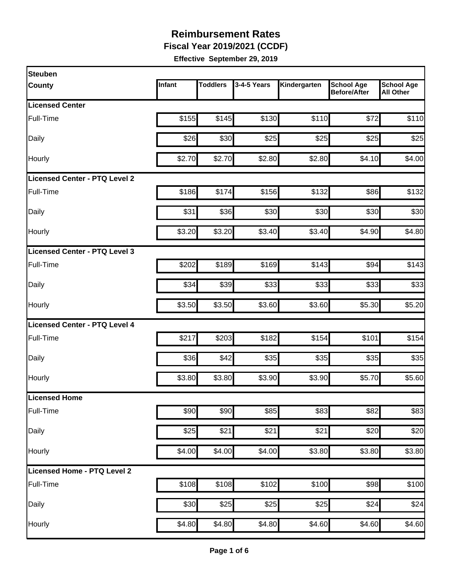**Fiscal Year 2019/2021 (CCDF)** 

| <b>Steuben</b>                |        |                 |             |              |                                          |                                       |
|-------------------------------|--------|-----------------|-------------|--------------|------------------------------------------|---------------------------------------|
| <b>County</b>                 | Infant | <b>Toddlers</b> | 3-4-5 Years | Kindergarten | <b>School Age</b><br><b>Before/After</b> | <b>School Age</b><br><b>All Other</b> |
| <b>Licensed Center</b>        |        |                 |             |              |                                          |                                       |
| Full-Time                     | \$155  | \$145           | \$130       | \$110        | \$72                                     | \$110                                 |
| Daily                         | \$26   | \$30            | \$25        | \$25         | \$25                                     | \$25                                  |
| Hourly                        | \$2.70 | \$2.70          | \$2.80      | \$2.80       | \$4.10                                   | \$4.00                                |
| Licensed Center - PTQ Level 2 |        |                 |             |              |                                          |                                       |
| Full-Time                     | \$186  | \$174           | \$156       | \$132        | \$86                                     | \$132                                 |
| Daily                         | \$31   | \$36            | \$30        | \$30         | \$30                                     | \$30                                  |
| Hourly                        | \$3.20 | \$3.20          | \$3.40]     | \$3.40       | \$4.90                                   | \$4.80                                |
| Licensed Center - PTQ Level 3 |        |                 |             |              |                                          |                                       |
| Full-Time                     | \$202  | \$189           | \$169       | \$143        | \$94                                     | \$143                                 |
| Daily                         | \$34   | \$39            | \$33        | \$33         | \$33                                     | \$33                                  |
| Hourly                        | \$3.50 | \$3.50          | \$3.60      | \$3.60       | \$5.30                                   | \$5.20                                |
| Licensed Center - PTQ Level 4 |        |                 |             |              |                                          |                                       |
| Full-Time                     | \$217  | \$203           | \$182       | \$154        | \$101                                    | \$154                                 |
| Daily                         | \$36   | \$42            | \$35        | \$35         | \$35                                     | \$35                                  |
| Hourly                        | \$3.80 | \$3.80          | \$3.90      | \$3.90       | \$5.70                                   | \$5.60                                |
| Licensed Home                 |        |                 |             |              |                                          |                                       |
| Full-Time                     | \$90   | \$90            | \$85        | \$83         | \$82                                     | \$83                                  |
| Daily                         | \$25   | \$21            | \$21        | \$21         | \$20                                     | \$20                                  |
| Hourly                        | \$4.00 | \$4.00          | \$4.00      | \$3.80       | \$3.80                                   | \$3.80                                |
| Licensed Home - PTQ Level 2   |        |                 |             |              |                                          |                                       |
| Full-Time                     | \$108  | \$108           | \$102       | \$100        | \$98                                     | \$100                                 |
| Daily                         | \$30   | \$25            | \$25        | \$25         | \$24                                     | \$24                                  |
| Hourly                        | \$4.80 | \$4.80          | \$4.80      | \$4.60       | \$4.60                                   | \$4.60                                |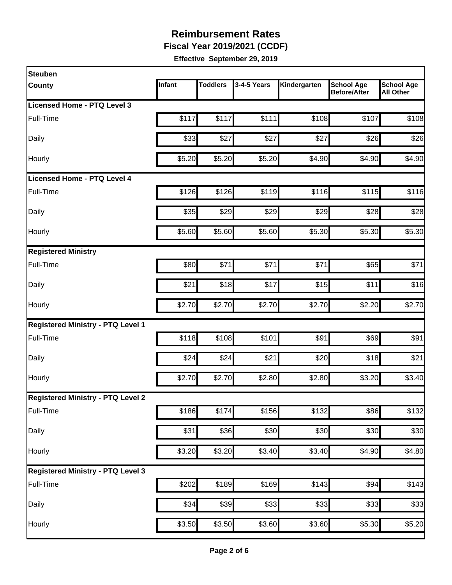**Fiscal Year 2019/2021 (CCDF)** 

| <b>Steuben</b>                           |        |                 |                  |              |                                          |                                       |
|------------------------------------------|--------|-----------------|------------------|--------------|------------------------------------------|---------------------------------------|
| <b>County</b>                            | Infant | <b>Toddlers</b> | 3-4-5 Years      | Kindergarten | <b>School Age</b><br><b>Before/After</b> | <b>School Age</b><br><b>All Other</b> |
| Licensed Home - PTQ Level 3              |        |                 |                  |              |                                          |                                       |
| Full-Time                                | \$117  | \$117           | \$111            | \$108        | \$107                                    | \$108                                 |
| Daily                                    | \$33   | \$27            | \$27             | \$27         | \$26                                     | \$26                                  |
| Hourly                                   | \$5.20 | \$5.20          | \$5.20           | \$4.90       | \$4.90                                   | \$4.90                                |
| Licensed Home - PTQ Level 4              |        |                 |                  |              |                                          |                                       |
| Full-Time                                | \$126  | \$126           | \$119            | \$116        | \$115                                    | \$116                                 |
| Daily                                    | \$35   | \$29            | \$29             | \$29         | \$28                                     | \$28                                  |
| Hourly                                   | \$5.60 | \$5.60          | \$5.60           | \$5.30       | \$5.30                                   | \$5.30                                |
| <b>Registered Ministry</b>               |        |                 |                  |              |                                          |                                       |
| Full-Time                                | \$80   | \$71            | \$71             | \$71         | \$65                                     | \$71                                  |
| Daily                                    | \$21   | \$18            | \$17             | \$15         | \$11                                     | \$16                                  |
| Hourly                                   | \$2.70 | \$2.70          | \$2.70           | \$2.70       | \$2.20                                   | \$2.70                                |
| <b>Registered Ministry - PTQ Level 1</b> |        |                 |                  |              |                                          |                                       |
| Full-Time                                | \$118  | \$108           | \$101            | \$91         | \$69                                     | \$91                                  |
| Daily                                    | \$24   | \$24            | \$21             | \$20         | \$18                                     | \$21                                  |
| Hourly                                   | \$2.70 | \$2.70          | \$2.80           | \$2.80       | \$3.20                                   | \$3.40                                |
| <b>Registered Ministry - PTQ Level 2</b> |        |                 |                  |              |                                          |                                       |
| Full-Time                                | \$186  | \$174           | \$156            | \$132        | \$86                                     | \$132                                 |
| Daily                                    | \$31   | \$36            | \$30             | \$30         | \$30                                     | \$30                                  |
| Hourly                                   | \$3.20 | \$3.20          | \$3.40           | \$3.40       | \$4.90                                   | \$4.80                                |
| <b>Registered Ministry - PTQ Level 3</b> |        |                 |                  |              |                                          |                                       |
| Full-Time                                | \$202  | \$189           | \$169            | \$143        | \$94                                     | \$143                                 |
| Daily                                    | \$34   | \$39            | $\overline{$}33$ | \$33         | \$33                                     | \$33                                  |
| Hourly                                   | \$3.50 | \$3.50          | \$3.60           | \$3.60       | \$5.30                                   | \$5.20                                |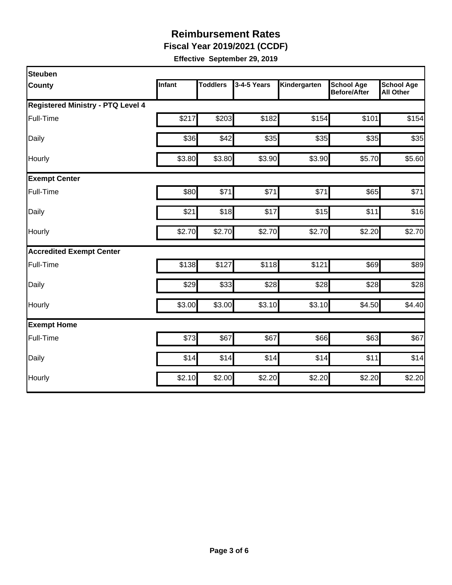**Fiscal Year 2019/2021 (CCDF)** 

| Steuben                                  |        |                 |             |              |                                          |                                       |
|------------------------------------------|--------|-----------------|-------------|--------------|------------------------------------------|---------------------------------------|
| County                                   | Infant | <b>Toddlers</b> | 3-4-5 Years | Kindergarten | <b>School Age</b><br><b>Before/After</b> | <b>School Age</b><br><b>All Other</b> |
| <b>Registered Ministry - PTQ Level 4</b> |        |                 |             |              |                                          |                                       |
| Full-Time                                | \$217  | \$203           | \$182       | \$154        | \$101                                    | \$154                                 |
| Daily                                    | \$36   | \$42            | \$35        | \$35         | \$35                                     | \$35                                  |
| Hourly                                   | \$3.80 | \$3.80          | \$3.90      | \$3.90       | \$5.70                                   | \$5.60                                |
| <b>Exempt Center</b>                     |        |                 |             |              |                                          |                                       |
| Full-Time                                | \$80   | \$71            | \$71        | \$71         | \$65                                     | \$71                                  |
| Daily                                    | \$21   | \$18            | \$17        | \$15         | \$11                                     | \$16                                  |
| Hourly                                   | \$2.70 | \$2.70          | \$2.70      | \$2.70       | \$2.20                                   | \$2.70                                |
| <b>Accredited Exempt Center</b>          |        |                 |             |              |                                          |                                       |
| Full-Time                                | \$138  | \$127           | \$118       | \$121        | \$69                                     | \$89                                  |
| Daily                                    | \$29   | \$33            | \$28        | \$28         | \$28                                     | \$28                                  |
| Hourly                                   | \$3.00 | \$3.00          | \$3.10      | \$3.10       | \$4.50                                   | \$4.40                                |
| <b>Exempt Home</b>                       |        |                 |             |              |                                          |                                       |
| Full-Time                                | \$73   | \$67            | \$67        | \$66         | \$63                                     | \$67                                  |
| Daily                                    | \$14   | \$14            | \$14        | \$14         | \$11                                     | \$14                                  |
| Hourly                                   | \$2.10 | \$2.00          | \$2.20      | \$2.20       | \$2.20                                   | \$2.20                                |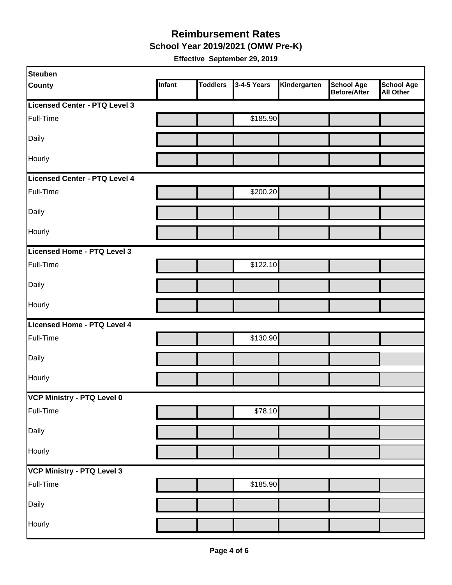#### **Reimbursement Rates School Year 2019/2021 (OMW Pre-K)**

| Steuben                              |        |                 |             |              |                                   |                                       |
|--------------------------------------|--------|-----------------|-------------|--------------|-----------------------------------|---------------------------------------|
| <b>County</b>                        | Infant | <b>Toddlers</b> | 3-4-5 Years | Kindergarten | <b>School Age</b><br>Before/After | <b>School Age</b><br><b>All Other</b> |
| Licensed Center - PTQ Level 3        |        |                 |             |              |                                   |                                       |
| Full-Time                            |        |                 | \$185.90    |              |                                   |                                       |
| Daily                                |        |                 |             |              |                                   |                                       |
| Hourly                               |        |                 |             |              |                                   |                                       |
| <b>Licensed Center - PTQ Level 4</b> |        |                 |             |              |                                   |                                       |
| Full-Time                            |        |                 | \$200.20    |              |                                   |                                       |
| Daily                                |        |                 |             |              |                                   |                                       |
| Hourly                               |        |                 |             |              |                                   |                                       |
| Licensed Home - PTQ Level 3          |        |                 |             |              |                                   |                                       |
| Full-Time                            |        |                 | \$122.10    |              |                                   |                                       |
| Daily                                |        |                 |             |              |                                   |                                       |
| Hourly                               |        |                 |             |              |                                   |                                       |
| Licensed Home - PTQ Level 4          |        |                 |             |              |                                   |                                       |
| Full-Time                            |        |                 | \$130.90    |              |                                   |                                       |
| Daily                                |        |                 |             |              |                                   |                                       |
| Hourly                               |        |                 |             |              |                                   |                                       |
| VCP Ministry - PTQ Level 0           |        |                 |             |              |                                   |                                       |
| Full-Time                            |        |                 | \$78.10     |              |                                   |                                       |
| Daily                                |        |                 |             |              |                                   |                                       |
| Hourly                               |        |                 |             |              |                                   |                                       |
| VCP Ministry - PTQ Level 3           |        |                 |             |              |                                   |                                       |
| Full-Time                            |        |                 | \$185.90    |              |                                   |                                       |
| Daily                                |        |                 |             |              |                                   |                                       |
| Hourly                               |        |                 |             |              |                                   |                                       |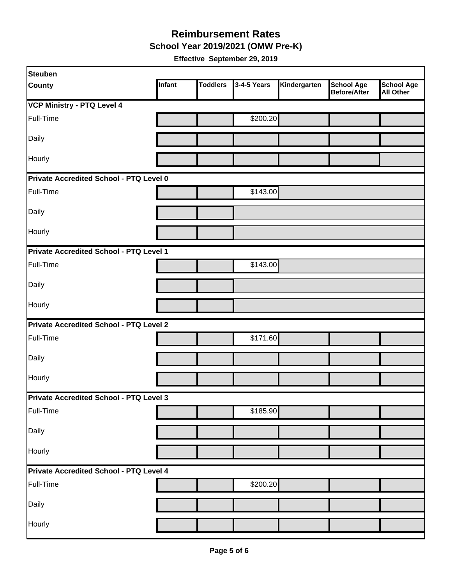**School Year 2019/2021 (OMW Pre-K)** 

| Steuben                                 |               |                 |             |              |                                          |                                       |
|-----------------------------------------|---------------|-----------------|-------------|--------------|------------------------------------------|---------------------------------------|
| <b>County</b>                           | <b>Infant</b> | <b>Toddlers</b> | 3-4-5 Years | Kindergarten | <b>School Age</b><br><b>Before/After</b> | <b>School Age</b><br><b>All Other</b> |
| <b>VCP Ministry - PTQ Level 4</b>       |               |                 |             |              |                                          |                                       |
| Full-Time                               |               |                 | \$200.20    |              |                                          |                                       |
| Daily                                   |               |                 |             |              |                                          |                                       |
| Hourly                                  |               |                 |             |              |                                          |                                       |
| Private Accredited School - PTQ Level 0 |               |                 |             |              |                                          |                                       |
| Full-Time                               |               |                 | \$143.00    |              |                                          |                                       |
| Daily                                   |               |                 |             |              |                                          |                                       |
| Hourly                                  |               |                 |             |              |                                          |                                       |
| Private Accredited School - PTQ Level 1 |               |                 |             |              |                                          |                                       |
| Full-Time                               |               |                 | \$143.00    |              |                                          |                                       |
| Daily                                   |               |                 |             |              |                                          |                                       |
| Hourly                                  |               |                 |             |              |                                          |                                       |
| Private Accredited School - PTQ Level 2 |               |                 |             |              |                                          |                                       |
| Full-Time                               |               |                 | \$171.60    |              |                                          |                                       |
| Daily                                   |               |                 |             |              |                                          |                                       |
| Hourly                                  |               |                 |             |              |                                          |                                       |
| Private Accredited School - PTQ Level 3 |               |                 |             |              |                                          |                                       |
| Full-Time                               |               |                 | \$185.90    |              |                                          |                                       |
| Daily                                   |               |                 |             |              |                                          |                                       |
| Hourly                                  |               |                 |             |              |                                          |                                       |
| Private Accredited School - PTQ Level 4 |               |                 |             |              |                                          |                                       |
| Full-Time                               |               |                 | \$200.20    |              |                                          |                                       |
| Daily                                   |               |                 |             |              |                                          |                                       |
| Hourly                                  |               |                 |             |              |                                          |                                       |